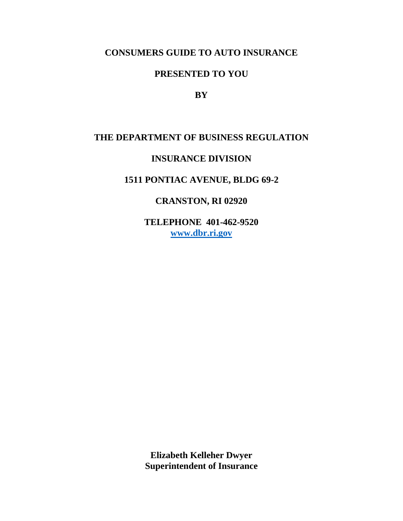# **CONSUMERS GUIDE TO AUTO INSURANCE**

# **PRESENTED TO YOU**

**BY**

## **THE DEPARTMENT OF BUSINESS REGULATION**

## **INSURANCE DIVISION**

## **1511 PONTIAC AVENUE, BLDG 69-2**

# **CRANSTON, RI 02920**

**TELEPHONE 401-462-9520 [www.dbr.ri.gov](http://www.dbr.ri.gov/)**

**Elizabeth Kelleher Dwyer Superintendent of Insurance**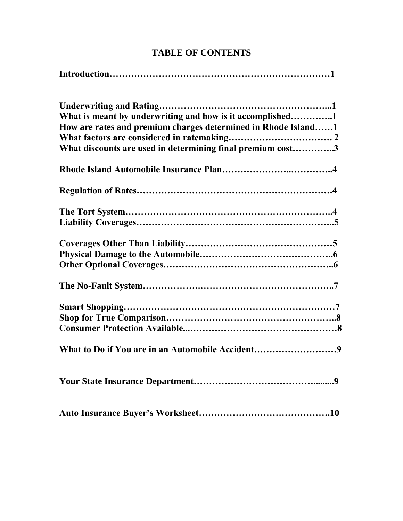# **TABLE OF CONTENTS**

| What is meant by underwriting and how is it accomplished1     |
|---------------------------------------------------------------|
| How are rates and premium charges determined in Rhode Island1 |
|                                                               |
| What discounts are used in determining final premium cost3    |
|                                                               |
|                                                               |
|                                                               |
|                                                               |
|                                                               |
|                                                               |
|                                                               |
|                                                               |
|                                                               |
|                                                               |
|                                                               |
| What to Do if You are in an Automobile Accident9              |
|                                                               |
|                                                               |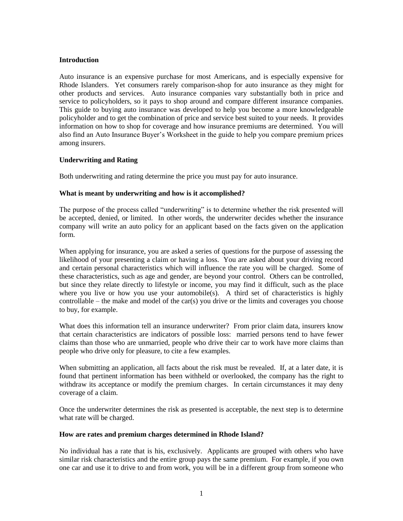## **Introduction**

Auto insurance is an expensive purchase for most Americans, and is especially expensive for Rhode Islanders. Yet consumers rarely comparison-shop for auto insurance as they might for other products and services. Auto insurance companies vary substantially both in price and service to policyholders, so it pays to shop around and compare different insurance companies. This guide to buying auto insurance was developed to help you become a more knowledgeable policyholder and to get the combination of price and service best suited to your needs. It provides information on how to shop for coverage and how insurance premiums are determined. You will also find an Auto Insurance Buyer's Worksheet in the guide to help you compare premium prices among insurers.

## **Underwriting and Rating**

Both underwriting and rating determine the price you must pay for auto insurance.

#### **What is meant by underwriting and how is it accomplished?**

The purpose of the process called "underwriting" is to determine whether the risk presented will be accepted, denied, or limited. In other words, the underwriter decides whether the insurance company will write an auto policy for an applicant based on the facts given on the application form.

When applying for insurance, you are asked a series of questions for the purpose of assessing the likelihood of your presenting a claim or having a loss. You are asked about your driving record and certain personal characteristics which will influence the rate you will be charged. Some of these characteristics, such as age and gender, are beyond your control. Others can be controlled, but since they relate directly to lifestyle or income, you may find it difficult, such as the place where you live or how you use your automobile(s). A third set of characteristics is highly controllable – the make and model of the car(s) you drive or the limits and coverages you choose to buy, for example.

What does this information tell an insurance underwriter? From prior claim data, insurers know that certain characteristics are indicators of possible loss: married persons tend to have fewer claims than those who are unmarried, people who drive their car to work have more claims than people who drive only for pleasure, to cite a few examples.

When submitting an application, all facts about the risk must be revealed. If, at a later date, it is found that pertinent information has been withheld or overlooked, the company has the right to withdraw its acceptance or modify the premium charges. In certain circumstances it may deny coverage of a claim.

Once the underwriter determines the risk as presented is acceptable, the next step is to determine what rate will be charged.

#### **How are rates and premium charges determined in Rhode Island?**

No individual has a rate that is his, exclusively. Applicants are grouped with others who have similar risk characteristics and the entire group pays the same premium. For example, if you own one car and use it to drive to and from work, you will be in a different group from someone who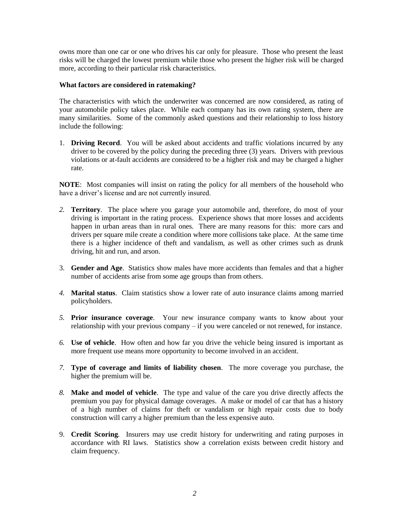owns more than one car or one who drives his car only for pleasure. Those who present the least risks will be charged the lowest premium while those who present the higher risk will be charged more, according to their particular risk characteristics.

## **What factors are considered in ratemaking?**

The characteristics with which the underwriter was concerned are now considered, as rating of your automobile policy takes place. While each company has its own rating system, there are many similarities. Some of the commonly asked questions and their relationship to loss history include the following:

1. **Driving Record**. You will be asked about accidents and traffic violations incurred by any driver to be covered by the policy during the preceding three (3) years. Drivers with previous violations or at-fault accidents are considered to be a higher risk and may be charged a higher rate.

**NOTE**: Most companies will insist on rating the policy for all members of the household who have a driver's license and are not currently insured.

- *2.* **Territory**. The place where you garage your automobile and, therefore, do most of your driving is important in the rating process. Experience shows that more losses and accidents happen in urban areas than in rural ones. There are many reasons for this: more cars and drivers per square mile create a condition where more collisions take place. At the same time there is a higher incidence of theft and vandalism, as well as other crimes such as drunk driving, hit and run, and arson.
- 3. **Gender and Age**. Statistics show males have more accidents than females and that a higher number of accidents arise from some age groups than from others.
- *4.* **Marital status**. Claim statistics show a lower rate of auto insurance claims among married policyholders.
- *5.* **Prior insurance coverage**. Your new insurance company wants to know about your relationship with your previous company – if you were canceled or not renewed, for instance.
- *6.* **Use of vehicle**. How often and how far you drive the vehicle being insured is important as more frequent use means more opportunity to become involved in an accident.
- *7.* **Type of coverage and limits of liability chosen**. The more coverage you purchase, the higher the premium will be.
- *8.* **Make and model of vehicle**. The type and value of the care you drive directly affects the premium you pay for physical damage coverages. A make or model of car that has a history of a high number of claims for theft or vandalism or high repair costs due to body construction will carry a higher premium than the less expensive auto.
- 9. **Credit Scoring***.* Insurers may use credit history for underwriting and rating purposes in accordance with RI laws. Statistics show a correlation exists between credit history and claim frequency.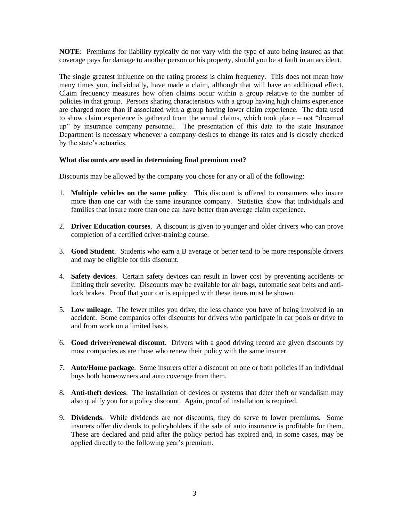**NOTE**: Premiums for liability typically do not vary with the type of auto being insured as that coverage pays for damage to another person or his property, should you be at fault in an accident.

The single greatest influence on the rating process is claim frequency. This does not mean how many times you, individually, have made a claim, although that will have an additional effect. Claim frequency measures how often claims occur within a group relative to the number of policies in that group. Persons sharing characteristics with a group having high claims experience are charged more than if associated with a group having lower claim experience. The data used to show claim experience is gathered from the actual claims, which took place – not "dreamed up" by insurance company personnel. The presentation of this data to the state Insurance Department is necessary whenever a company desires to change its rates and is closely checked by the state's actuaries.

## **What discounts are used in determining final premium cost?**

Discounts may be allowed by the company you chose for any or all of the following:

- 1. **Multiple vehicles on the same policy**. This discount is offered to consumers who insure more than one car with the same insurance company. Statistics show that individuals and families that insure more than one car have better than average claim experience.
- 2. **Driver Education courses**. A discount is given to younger and older drivers who can prove completion of a certified driver-training course.
- 3. **Good Student**. Students who earn a B average or better tend to be more responsible drivers and may be eligible for this discount.
- 4. **Safety devices**. Certain safety devices can result in lower cost by preventing accidents or limiting their severity. Discounts may be available for air bags, automatic seat belts and antilock brakes. Proof that your car is equipped with these items must be shown.
- 5. **Low mileage**. The fewer miles you drive, the less chance you have of being involved in an accident. Some companies offer discounts for drivers who participate in car pools or drive to and from work on a limited basis.
- 6. **Good driver/renewal discount**. Drivers with a good driving record are given discounts by most companies as are those who renew their policy with the same insurer.
- 7. **Auto/Home package**. Some insurers offer a discount on one or both policies if an individual buys both homeowners and auto coverage from them.
- 8. **Anti-theft devices**. The installation of devices or systems that deter theft or vandalism may also qualify you for a policy discount. Again, proof of installation is required.
- 9. **Dividends**. While dividends are not discounts, they do serve to lower premiums. Some insurers offer dividends to policyholders if the sale of auto insurance is profitable for them. These are declared and paid after the policy period has expired and, in some cases, may be applied directly to the following year's premium.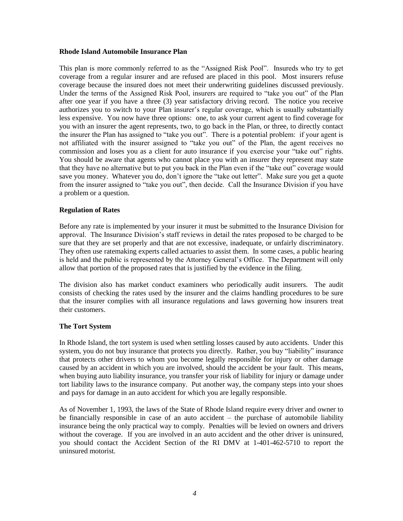#### **Rhode Island Automobile Insurance Plan**

This plan is more commonly referred to as the "Assigned Risk Pool". Insureds who try to get coverage from a regular insurer and are refused are placed in this pool. Most insurers refuse coverage because the insured does not meet their underwriting guidelines discussed previously. Under the terms of the Assigned Risk Pool, insurers are required to "take you out" of the Plan after one year if you have a three (3) year satisfactory driving record. The notice you receive authorizes you to switch to your Plan insurer's regular coverage, which is usually substantially less expensive. You now have three options: one, to ask your current agent to find coverage for you with an insurer the agent represents, two, to go back in the Plan, or three, to directly contact the insurer the Plan has assigned to "take you out". There is a potential problem: if your agent is not affiliated with the insurer assigned to "take you out" of the Plan, the agent receives no commission and loses you as a client for auto insurance if you exercise your "take out" rights. You should be aware that agents who cannot place you with an insurer they represent may state that they have no alternative but to put you back in the Plan even if the "take out" coverage would save you money. Whatever you do, don't ignore the "take out letter". Make sure you get a quote from the insurer assigned to "take you out", then decide. Call the Insurance Division if you have a problem or a question.

#### **Regulation of Rates**

Before any rate is implemented by your insurer it must be submitted to the Insurance Division for approval. The Insurance Division's staff reviews in detail the rates proposed to be charged to be sure that they are set properly and that are not excessive, inadequate, or unfairly discriminatory. They often use ratemaking experts called actuaries to assist them. In some cases, a public hearing is held and the public is represented by the Attorney General's Office. The Department will only allow that portion of the proposed rates that is justified by the evidence in the filing.

The division also has market conduct examiners who periodically audit insurers. The audit consists of checking the rates used by the insurer and the claims handling procedures to be sure that the insurer complies with all insurance regulations and laws governing how insurers treat their customers.

#### **The Tort System**

In Rhode Island, the tort system is used when settling losses caused by auto accidents. Under this system, you do not buy insurance that protects you directly. Rather, you buy "liability" insurance that protects other drivers to whom you become legally responsible for injury or other damage caused by an accident in which you are involved, should the accident be your fault. This means, when buying auto liability insurance, you transfer your risk of liability for injury or damage under tort liability laws to the insurance company. Put another way, the company steps into your shoes and pays for damage in an auto accident for which you are legally responsible.

As of November 1, 1993, the laws of the State of Rhode Island require every driver and owner to be financially responsible in case of an auto accident – the purchase of automobile liability insurance being the only practical way to comply. Penalties will be levied on owners and drivers without the coverage. If you are involved in an auto accident and the other driver is uninsured, you should contact the Accident Section of the RI DMV at 1-401-462-5710 to report the uninsured motorist.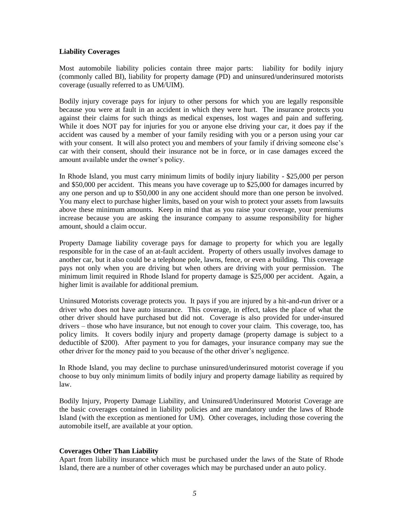#### **Liability Coverages**

Most automobile liability policies contain three major parts: liability for bodily injury (commonly called BI), liability for property damage (PD) and uninsured/underinsured motorists coverage (usually referred to as UM/UIM).

Bodily injury coverage pays for injury to other persons for which you are legally responsible because you were at fault in an accident in which they were hurt. The insurance protects you against their claims for such things as medical expenses, lost wages and pain and suffering. While it does NOT pay for injuries for you or anyone else driving your car, it does pay if the accident was caused by a member of your family residing with you or a person using your car with your consent. It will also protect you and members of your family if driving someone else's car with their consent, should their insurance not be in force, or in case damages exceed the amount available under the owner's policy.

In Rhode Island, you must carry minimum limits of bodily injury liability - \$25,000 per person and \$50,000 per accident. This means you have coverage up to \$25,000 for damages incurred by any one person and up to \$50,000 in any one accident should more than one person be involved. You many elect to purchase higher limits, based on your wish to protect your assets from lawsuits above these minimum amounts. Keep in mind that as you raise your coverage, your premiums increase because you are asking the insurance company to assume responsibility for higher amount, should a claim occur.

Property Damage liability coverage pays for damage to property for which you are legally responsible for in the case of an at-fault accident. Property of others usually involves damage to another car, but it also could be a telephone pole, lawns, fence, or even a building. This coverage pays not only when you are driving but when others are driving with your permission. The minimum limit required in Rhode Island for property damage is \$25,000 per accident. Again, a higher limit is available for additional premium.

Uninsured Motorists coverage protects you. It pays if you are injured by a hit-and-run driver or a driver who does not have auto insurance. This coverage, in effect, takes the place of what the other driver should have purchased but did not. Coverage is also provided for under-insured drivers – those who have insurance, but not enough to cover your claim. This coverage, too, has policy limits. It covers bodily injury and property damage (property damage is subject to a deductible of \$200). After payment to you for damages, your insurance company may sue the other driver for the money paid to you because of the other driver's negligence.

In Rhode Island, you may decline to purchase uninsured/underinsured motorist coverage if you choose to buy only minimum limits of bodily injury and property damage liability as required by law.

Bodily Injury, Property Damage Liability, and Uninsured/Underinsured Motorist Coverage are the basic coverages contained in liability policies and are mandatory under the laws of Rhode Island (with the exception as mentioned for UM). Other coverages, including those covering the automobile itself, are available at your option.

## **Coverages Other Than Liability**

Apart from liability insurance which must be purchased under the laws of the State of Rhode Island, there are a number of other coverages which may be purchased under an auto policy.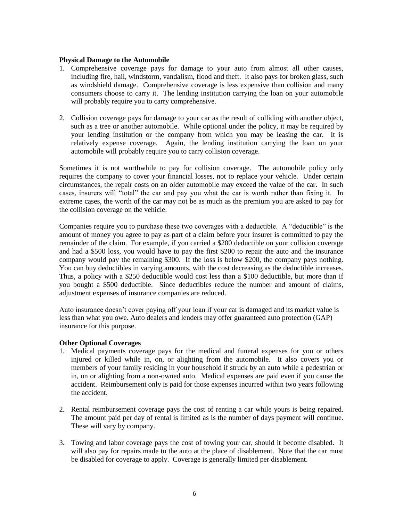#### **Physical Damage to the Automobile**

- 1. Comprehensive coverage pays for damage to your auto from almost all other causes, including fire, hail, windstorm, vandalism, flood and theft. It also pays for broken glass, such as windshield damage. Comprehensive coverage is less expensive than collision and many consumers choose to carry it. The lending institution carrying the loan on your automobile will probably require you to carry comprehensive.
- 2. Collision coverage pays for damage to your car as the result of colliding with another object, such as a tree or another automobile. While optional under the policy, it may be required by your lending institution or the company from which you may be leasing the car. It is relatively expense coverage. Again, the lending institution carrying the loan on your automobile will probably require you to carry collision coverage.

Sometimes it is not worthwhile to pay for collision coverage. The automobile policy only requires the company to cover your financial losses, not to replace your vehicle. Under certain circumstances, the repair costs on an older automobile may exceed the value of the car. In such cases, insurers will "total" the car and pay you what the car is worth rather than fixing it. In extreme cases, the worth of the car may not be as much as the premium you are asked to pay for the collision coverage on the vehicle.

Companies require you to purchase these two coverages with a deductible. A "deductible" is the amount of money you agree to pay as part of a claim before your insurer is committed to pay the remainder of the claim. For example, if you carried a \$200 deductible on your collision coverage and had a \$500 loss, you would have to pay the first \$200 to repair the auto and the insurance company would pay the remaining \$300. If the loss is below \$200, the company pays nothing. You can buy deductibles in varying amounts, with the cost decreasing as the deductible increases. Thus, a policy with a \$250 deductible would cost less than a \$100 deductible, but more than if you bought a \$500 deductible. Since deductibles reduce the number and amount of claims, adjustment expenses of insurance companies are reduced.

Auto insurance doesn't cover paying off your loan if your car is damaged and its market value is less than what you owe. Auto dealers and lenders may offer guaranteed auto protection (GAP) insurance for this purpose.

## **Other Optional Coverages**

- 1. Medical payments coverage pays for the medical and funeral expenses for you or others injured or killed while in, on, or alighting from the automobile. It also covers you or members of your family residing in your household if struck by an auto while a pedestrian or in, on or alighting from a non-owned auto. Medical expenses are paid even if you cause the accident. Reimbursement only is paid for those expenses incurred within two years following the accident.
- 2. Rental reimbursement coverage pays the cost of renting a car while yours is being repaired. The amount paid per day of rental is limited as is the number of days payment will continue. These will vary by company.
- 3. Towing and labor coverage pays the cost of towing your car, should it become disabled. It will also pay for repairs made to the auto at the place of disablement. Note that the car must be disabled for coverage to apply. Coverage is generally limited per disablement.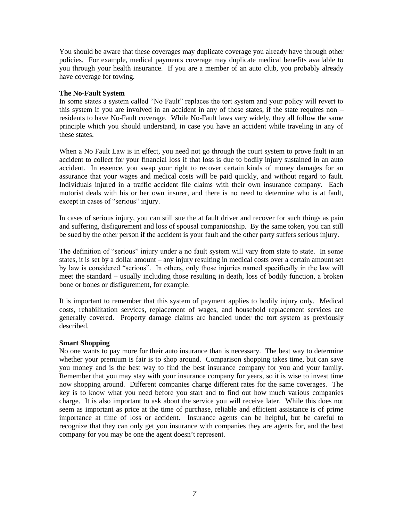You should be aware that these coverages may duplicate coverage you already have through other policies. For example, medical payments coverage may duplicate medical benefits available to you through your health insurance. If you are a member of an auto club, you probably already have coverage for towing.

### **The No-Fault System**

In some states a system called "No Fault" replaces the tort system and your policy will revert to this system if you are involved in an accident in any of those states, if the state requires non – residents to have No-Fault coverage. While No-Fault laws vary widely, they all follow the same principle which you should understand, in case you have an accident while traveling in any of these states.

When a No Fault Law is in effect, you need not go through the court system to prove fault in an accident to collect for your financial loss if that loss is due to bodily injury sustained in an auto accident. In essence, you swap your right to recover certain kinds of money damages for an assurance that your wages and medical costs will be paid quickly, and without regard to fault. Individuals injured in a traffic accident file claims with their own insurance company. Each motorist deals with his or her own insurer, and there is no need to determine who is at fault, except in cases of "serious" injury.

In cases of serious injury, you can still sue the at fault driver and recover for such things as pain and suffering, disfigurement and loss of spousal companionship. By the same token, you can still be sued by the other person if the accident is your fault and the other party suffers serious injury.

The definition of "serious" injury under a no fault system will vary from state to state. In some states, it is set by a dollar amount – any injury resulting in medical costs over a certain amount set by law is considered "serious". In others, only those injuries named specifically in the law will meet the standard – usually including those resulting in death, loss of bodily function, a broken bone or bones or disfigurement, for example.

It is important to remember that this system of payment applies to bodily injury only. Medical costs, rehabilitation services, replacement of wages, and household replacement services are generally covered. Property damage claims are handled under the tort system as previously described.

## **Smart Shopping**

No one wants to pay more for their auto insurance than is necessary. The best way to determine whether your premium is fair is to shop around. Comparison shopping takes time, but can save you money and is the best way to find the best insurance company for you and your family. Remember that you may stay with your insurance company for years, so it is wise to invest time now shopping around. Different companies charge different rates for the same coverages. The key is to know what you need before you start and to find out how much various companies charge. It is also important to ask about the service you will receive later. While this does not seem as important as price at the time of purchase, reliable and efficient assistance is of prime importance at time of loss or accident. Insurance agents can be helpful, but be careful to recognize that they can only get you insurance with companies they are agents for, and the best company for you may be one the agent doesn't represent.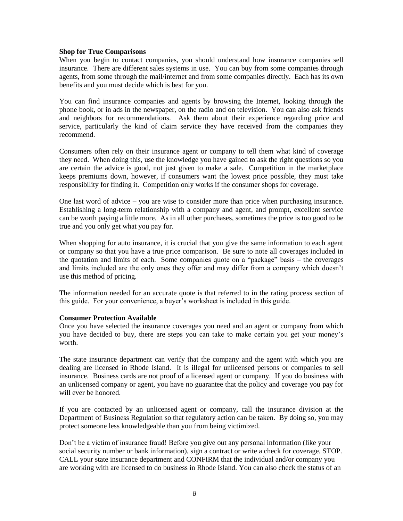#### **Shop for True Comparisons**

When you begin to contact companies, you should understand how insurance companies sell insurance. There are different sales systems in use. You can buy from some companies through agents, from some through the mail/internet and from some companies directly. Each has its own benefits and you must decide which is best for you.

You can find insurance companies and agents by browsing the Internet, looking through the phone book, or in ads in the newspaper, on the radio and on television. You can also ask friends and neighbors for recommendations. Ask them about their experience regarding price and service, particularly the kind of claim service they have received from the companies they recommend.

Consumers often rely on their insurance agent or company to tell them what kind of coverage they need. When doing this, use the knowledge you have gained to ask the right questions so you are certain the advice is good, not just given to make a sale. Competition in the marketplace keeps premiums down, however, if consumers want the lowest price possible, they must take responsibility for finding it. Competition only works if the consumer shops for coverage.

One last word of advice – you are wise to consider more than price when purchasing insurance. Establishing a long-term relationship with a company and agent, and prompt, excellent service can be worth paying a little more. As in all other purchases, sometimes the price is too good to be true and you only get what you pay for.

When shopping for auto insurance, it is crucial that you give the same information to each agent or company so that you have a true price comparison. Be sure to note all coverages included in the quotation and limits of each. Some companies quote on a "package" basis – the coverages and limits included are the only ones they offer and may differ from a company which doesn't use this method of pricing.

The information needed for an accurate quote is that referred to in the rating process section of this guide. For your convenience, a buyer's worksheet is included in this guide.

## **Consumer Protection Available**

Once you have selected the insurance coverages you need and an agent or company from which you have decided to buy, there are steps you can take to make certain you get your money's worth.

The state insurance department can verify that the company and the agent with which you are dealing are licensed in Rhode Island. It is illegal for unlicensed persons or companies to sell insurance. Business cards are not proof of a licensed agent or company. If you do business with an unlicensed company or agent, you have no guarantee that the policy and coverage you pay for will ever be honored.

If you are contacted by an unlicensed agent or company, call the insurance division at the Department of Business Regulation so that regulatory action can be taken. By doing so, you may protect someone less knowledgeable than you from being victimized.

Don't be a victim of insurance fraud! Before you give out any personal information (like your social security number or bank information), sign a contract or write a check for coverage, STOP. CALL your state insurance department and CONFIRM that the individual and/or company you are working with are licensed to do business in Rhode Island. You can also check the status of an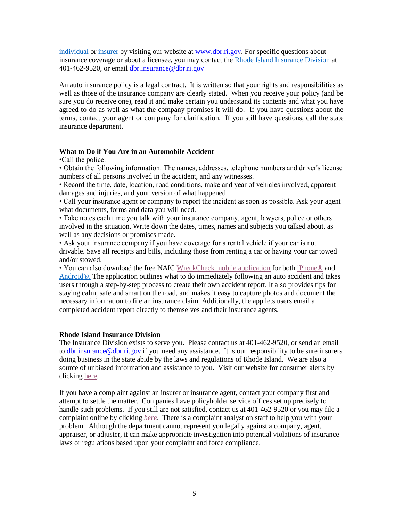[individual](https://sbs-ri.naic.org/Lion-Web/jsp/sbsreports/AgentLookup.jsp) or [insurer](http://www.dbr.state.ri.us/divisions/insurance/licensed.php) by visiting our website at www.dbr.ri.gov. For specific questions about insurance coverage or about a licensee, you may contact the [Rhode Island Insurance Division](http://www.dbr.state.ri.us/divisions/insurance/) at 401-462-9520, or email dbr.insurance@dbr.ri.gov

An auto insurance policy is a legal contract. It is written so that your rights and responsibilities as well as those of the insurance company are clearly stated. When you receive your policy (and be sure you do receive one), read it and make certain you understand its contents and what you have agreed to do as well as what the company promises it will do. If you have questions about the terms, contact your agent or company for clarification. If you still have questions, call the state insurance department.

## **What to Do if You Are in an Automobile Accident**

•Call the police.

• Obtain the following information: The names, addresses, telephone numbers and driver's license numbers of all persons involved in the accident, and any witnesses.

• Record the time, date, location, road conditions, make and year of vehicles involved, apparent damages and injuries, and your version of what happened.

• Call your insurance agent or company to report the incident as soon as possible. Ask your agent what documents, forms and data you will need.

• Take notes each time you talk with your insurance company, agent, lawyers, police or others involved in the situation. Write down the dates, times, names and subjects you talked about, as well as any decisions or promises made.

• Ask your insurance company if you have coverage for a rental vehicle if your car is not drivable. Save all receipts and bills, including those from renting a car or having your car towed and/or stowed.

• You can also download the free NAIC [WreckCheck mobile application](http://www.insureuonline.org/auto_wreckcheck_guide.pdf) for both [iPhone®](http://itunes.apple.com/us/app/wreckcheck/id543290503?ls=1&mt=8) and [Android®.](https://play.google.com/store/apps/details?id=org.naic.android.wreckcheck&feature=search_result#?t=W251bGwsMSwyLDEsIm9yZy5uYWljLmFuZHJvaWQud3JlY2tjaGVjayJd) The application outlines what to do immediately following an auto accident and takes users through a step-by-step process to create their own accident report. It also provides tips for staying calm, safe and smart on the road, and makes it easy to capture photos and document the necessary information to file an insurance claim. Additionally, the app lets users email a completed accident report directly to themselves and their insurance agents.

## **Rhode Island Insurance Division**

The Insurance Division exists to serve you. Please contact us at 401-462-9520, or send an email to dbr.insurance@dbr.ri.gov if you need any assistance. It is our responsibility to be sure insurers doing business in the state abide by the laws and regulations of Rhode Island. We are also a source of unbiased information and assistance to you. Visit our website for consumer alerts by clicking [here.](http://www.dbr.state.ri.us/divisions/insurance/consumer_alerts.php)

If you have a complaint against an insurer or insurance agent, contact your company first and attempt to settle the matter. Companies have policyholder service offices set up precisely to handle such problems. If you still are not satisfied, contact us at 401-462-9520 or you may file a complaint online by clicking *[here](https://sbs-ri.naic.org/Lion-Web/servlet/org.naic.sbs.ext.onlineComplaint.OnlineComplaintCtrl?spanishVersion=N)*. There is a complaint analyst on staff to help you with your problem. Although the department cannot represent you legally against a company, agent, appraiser, or adjuster, it can make appropriate investigation into potential violations of insurance laws or regulations based upon your complaint and force compliance.